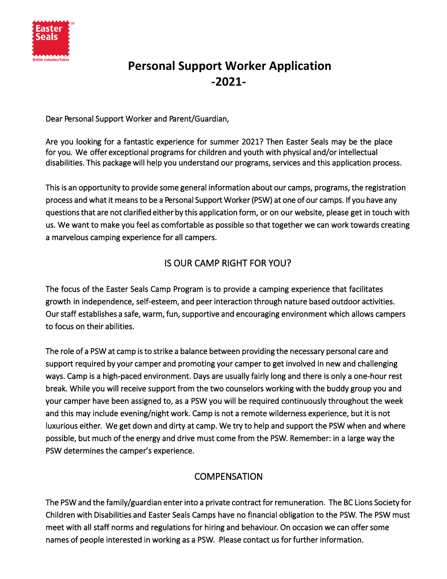

# **Personal Support Worker Application -2021-**

Dear Personal Support Worker and Parent/Guardian,

Are you looking for a fantastic experience for summer 2021? Then Easter Seals may be the place for you. We offer exceptional programs for children and youth with physical and/or intellectual disabilities. This package will help you understand our programs, services and this application process.

This is an opportunity to provide some general information about our camps, programs, the registration process and what it means to be a Personal Support Worker (PSW) at one of our camps. If you have any questions that are not clarified either by this application form, or on our website, please get in touch with us. We want to make you feel as comfortable as possible so that together we can work towards creating a marvelous camping experience for all campers.

### IS OUR CAMP RIGHT FOR YOU?

The focus of the Easter Seals Camp Program is to provide a camping experience that facilitates growth in independence, self-esteem, and peer interaction through nature based outdoor activities. Our staff establishes a safe, warm, fun, supportive and encouraging environment which allows campers to focus on their abilities.

The role of a PSW at camp is to strike a balance between providing the necessary personal care and support required by your camper and promoting your camper to get involved in new and challenging ways. Camp is a high-paced environment. Days are usually fairly long and there is only a one-hour rest break. While you will receive support from the two counselors working with the buddy group you and your camper have been assigned to, as a PSW you will be required continuously throughout the week and this may include evening/night work. Camp is not a remote wilderness experience, but it is not luxurious either. We get down and dirty at camp. We try to help and support the PSW when and where possible, but much of the energy and drive must come from the PSW. Remember: in a large way the PSW determines the camper's experience.

## **COMPENSATION**

The PSW and the family/guardian enter into a private contract for remuneration. The BC Lions Society for Children with Disabilities and Easter Seals Camps have no financial obligation to the PSW. The PSW must meet with all staff norms and regulations for hiring and behaviour. On occasion we can offer some names of people interested in working as a PSW. Please contact us for further information.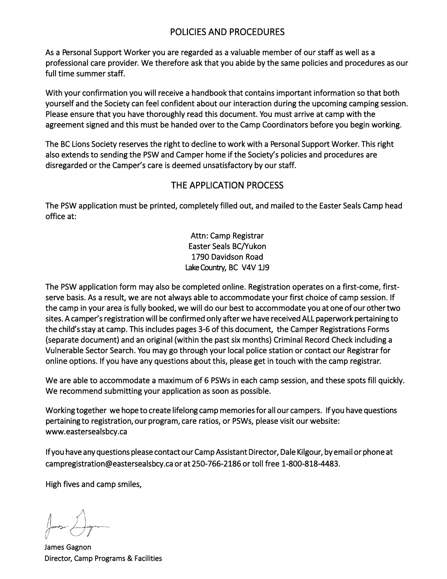### POLICIES AND PROCEDURES

As a Personal Support Worker you are regarded as a valuable member of our staff as well as a professional care provider. We therefore ask that you abide by the same policies and procedures as our full time summer staff.

With your confirmation you will receive a handbook that contains important information so that both yourself and the Society can feel confident about our interaction during the upcoming camping session. Please ensure that you have thoroughly read this document. You must arrive at camp with the agreement signed and this must be handed over to the Camp Coordinators before you begin working.

The BC Lions Society reserves the right to decline to work with a Personal Support Worker. This right also extends to sending the PSW and Camper home if the Society's policies and procedures are disregarded or the Camper's care is deemed unsatisfactory by our staff.

#### THE APPLICATION PROCESS

The PSW application must be printed, completely filled out, and mailed to the Easter Seals Camp head office at:

> Attn: Camp Registrar Easter Seals BC/Yukon 1790 Davidson Road Lake Country, BC V4V 1J9

The PSW application form may also be completed online. Registration operates on a first-come, firstserve basis. As a result, we are not always able to accommodate your first choice of camp session. If the camp in your area is fully booked, we will do our best to accommodate you at one of our other two sites. A camper's registration will be confirmed only after we have received ALL paperwork pertaining to the child's stay at camp. This includes pages 3-6 of this document, the Camper Registrations Forms (separate document) and an original (within the past six months) Criminal Record Check including a Vulnerable Sector Search. You may go through your local police station or contact our Registrar for online options. If you have any questions about this, please get in touch with the camp registrar.

We are able to accommodate a maximum of 6 PSWs in each camp session, and these spots fill quickly. We recommend submitting your application as soon as possible.

Working together we hope to create lifelong camp memories for all our campers. If you have questions pertaining to registration, our program, care ratios, or PSWs, please visit our website: www.eastersealsbcy.ca

If you have any questions please contact our Camp Assistant Director, Dale Kilgour, by email or phone at campregistration@eastersealsbcy.ca or at 250-766-2186 or toll free 1-800-818-4483.

High fives and camp smiles,

James Gagnon Director, Camp Programs & Facilities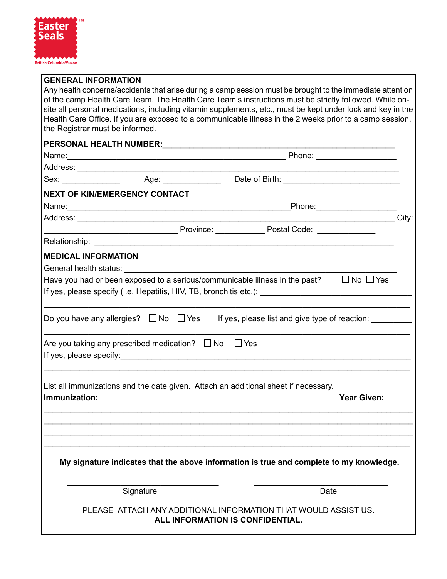

#### **GENERAL INFORMATION**

Any health concerns/accidents that arise during a camp session must be brought to the immediate attention of the camp Health Care Team. The Health Care Team's instructions must be strictly followed. While onsite all personal medications, including vitamin supplements, etc., must be kept under lock and key in the Health Care Office. If you are exposed to a communicable illness in the 2 weeks prior to a camp session, the Registrar must be informed.

#### **PERSONAL HEALTH NUMBER:**\_\_\_\_\_\_\_\_\_\_\_\_\_\_\_\_\_\_\_\_\_\_\_\_\_\_\_\_\_\_\_\_\_\_\_\_\_\_\_\_\_\_\_\_\_\_\_\_\_\_\_\_

| Sex: Age: Age: Date of Birth: |                                                                                                |  |                                  |      |                      |  |
|-------------------------------|------------------------------------------------------------------------------------------------|--|----------------------------------|------|----------------------|--|
|                               | <b>NEXT OF KIN/EMERGENCY CONTACT</b>                                                           |  |                                  |      |                      |  |
|                               |                                                                                                |  |                                  |      |                      |  |
|                               |                                                                                                |  |                                  |      | <b>City:</b>         |  |
|                               | Province: Postal Code: 2008. [2010] Province:                                                  |  |                                  |      |                      |  |
|                               |                                                                                                |  |                                  |      |                      |  |
|                               | <b>MEDICAL INFORMATION</b>                                                                     |  |                                  |      |                      |  |
|                               | Have you had or been exposed to a serious/communicable illness in the past?                    |  |                                  |      | $\Box$ No $\Box$ Yes |  |
|                               | Do you have any allergies? $\Box$ No $\Box$ Yes If yes, please list and give type of reaction: |  |                                  |      |                      |  |
|                               | Are you taking any prescribed medication? $\Box$ No $\Box$ Yes                                 |  |                                  |      |                      |  |
| Immunization:                 | List all immunizations and the date given. Attach an additional sheet if necessary.            |  |                                  |      | <b>Year Given:</b>   |  |
|                               |                                                                                                |  |                                  |      |                      |  |
|                               | My signature indicates that the above information is true and complete to my knowledge.        |  |                                  |      |                      |  |
|                               | Signature                                                                                      |  |                                  | Date |                      |  |
|                               | PLEASE ATTACH ANY ADDITIONAL INFORMATION THAT WOULD ASSIST US.                                 |  | ALL INFORMATION IS CONFIDENTIAL. |      |                      |  |